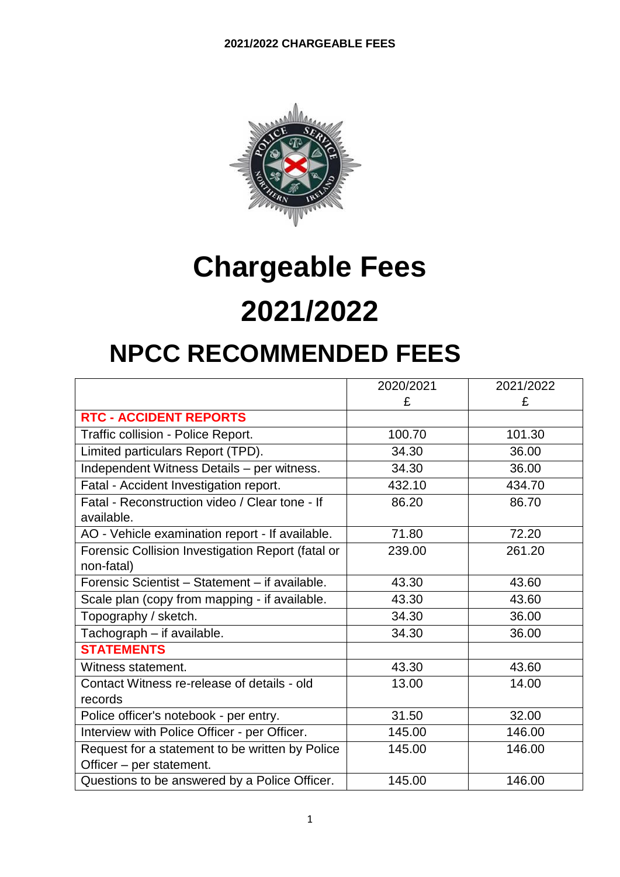

## **Chargeable Fees 2021/2022**

## **NPCC RECOMMENDED FEES**

|                                                   | 2020/2021 | 2021/2022 |
|---------------------------------------------------|-----------|-----------|
|                                                   | £         | £         |
| <b>RTC - ACCIDENT REPORTS</b>                     |           |           |
| Traffic collision - Police Report.                | 100.70    | 101.30    |
| Limited particulars Report (TPD).                 | 34.30     | 36.00     |
| Independent Witness Details - per witness.        | 34.30     | 36.00     |
| Fatal - Accident Investigation report.            | 432.10    | 434.70    |
| Fatal - Reconstruction video / Clear tone - If    | 86.20     | 86.70     |
| available.                                        |           |           |
| AO - Vehicle examination report - If available.   | 71.80     | 72.20     |
| Forensic Collision Investigation Report (fatal or | 239.00    | 261.20    |
| non-fatal)                                        |           |           |
| Forensic Scientist - Statement - if available.    | 43.30     | 43.60     |
| Scale plan (copy from mapping - if available.     | 43.30     | 43.60     |
| Topography / sketch.                              | 34.30     | 36.00     |
| Tachograph - if available.                        | 34.30     | 36.00     |
| <b>STATEMENTS</b>                                 |           |           |
| Witness statement.                                | 43.30     | 43.60     |
| Contact Witness re-release of details - old       | 13.00     | 14.00     |
| records                                           |           |           |
| Police officer's notebook - per entry.            | 31.50     | 32.00     |
| Interview with Police Officer - per Officer.      | 145.00    | 146.00    |
| Request for a statement to be written by Police   | 145.00    | 146.00    |
| Officer - per statement.                          |           |           |
| Questions to be answered by a Police Officer.     | 145.00    | 146.00    |